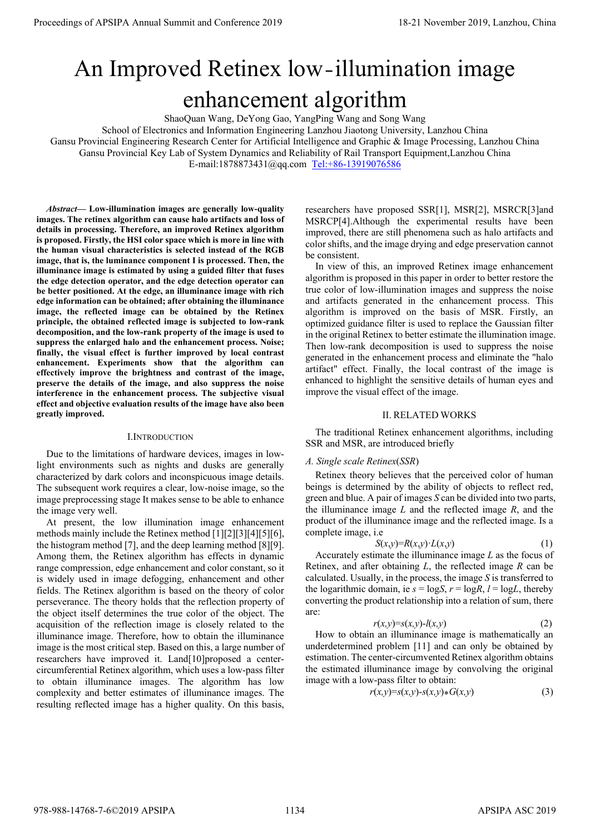# An Improved Retinex low-illumination image enhancement algorithm

ShaoQuan Wang, DeYong Gao, YangPing Wang and Song Wang

School of Electronics and Information Engineering Lanzhou Jiaotong University, Lanzhou China Gansu Provincial Engineering Research Center for Artificial Intelligence and Graphic & Image Processing, Lanzhou China Gansu Provincial Key Lab of System Dynamics and Reliability of Rail Transport Equipment,Lanzhou China E-mail:1878873431@qq.com Tel:+86-13919076586

*Abstract***— Low-illumination images are generally low-quality images. The retinex algorithm can cause halo artifacts and loss of details in processing. Therefore, an improved Retinex algorithm is proposed. Firstly, the HSI color space which is more in line with the human visual characteristics is selected instead of the RGB image, that is, the luminance component I is processed. Then, the illuminance image is estimated by using a guided filter that fuses the edge detection operator, and the edge detection operator can be better positioned. At the edge, an illuminance image with rich edge information can be obtained; after obtaining the illuminance image, the reflected image can be obtained by the Retinex principle, the obtained reflected image is subjected to low-rank decomposition, and the low-rank property of the image is used to suppress the enlarged halo and the enhancement process. Noise; finally, the visual effect is further improved by local contrast enhancement. Experiments show that the algorithm can effectively improve the brightness and contrast of the image, preserve the details of the image, and also suppress the noise interference in the enhancement process. The subjective visual effect and objective evaluation results of the image have also been greatly improved. Proceedings of APSIPA Annual Summit and Conference 2019**<br> **Conference 2019**<br> **Conference 2019**<br> **Conference 2019**<br> **Conference 2019**<br> **Conference 2019**<br> **Conference 2019**<br> **Conference 2019**<br> **Conference 2019**<br> **Conferenc** 

#### I.INTRODUCTION

Due to the limitations of hardware devices, images in lowlight environments such as nights and dusks are generally characterized by dark colors and inconspicuous image details. The subsequent work requires a clear, low-noise image, so the image preprocessing stage It makes sense to be able to enhance the image very well.

At present, the low illumination image enhancement methods mainly include the Retinex method [1][2][3][4][5][6], the histogram method [7], and the deep learning method [8][9]. Among them, the Retinex algorithm has effects in dynamic range compression, edge enhancement and color constant, so it is widely used in image defogging, enhancement and other fields. The Retinex algorithm is based on the theory of color perseverance. The theory holds that the reflection property of the object itself determines the true color of the object. The acquisition of the reflection image is closely related to the illuminance image. Therefore, how to obtain the illuminance image is the most critical step. Based on this, a large number of researchers have improved it. Land[10]proposed a centercircumferential Retinex algorithm, which uses a low-pass filter to obtain illuminance images. The algorithm has low complexity and better estimates of illuminance images. The resulting reflected image has a higher quality. On this basis,

researchers have proposed SSR[1], MSR[2], MSRCR[3]and MSRCP[4].Although the experimental results have been improved, there are still phenomena such as halo artifacts and color shifts, and the image drying and edge preservation cannot be consistent.

In view of this, an improved Retinex image enhancement algorithm is proposed in this paper in order to better restore the true color of low-illumination images and suppress the noise and artifacts generated in the enhancement process. This algorithm is improved on the basis of MSR. Firstly, an optimized guidance filter is used to replace the Gaussian filter in the original Retinex to better estimate the illumination image. Then low-rank decomposition is used to suppress the noise generated in the enhancement process and eliminate the "halo artifact" effect. Finally, the local contrast of the image is enhanced to highlight the sensitive details of human eyes and improve the visual effect of the image.

#### II. RELATED WORKS

The traditional Retinex enhancement algorithms, including SSR and MSR, are introduced briefly

#### *A. Single scale Retinex*(*SSR*)

Retinex theory believes that the perceived color of human beings is determined by the ability of objects to reflect red, green and blue. A pair of images *S* can be divided into two parts, the illuminance image *L* and the reflected image *R*, and the product of the illuminance image and the reflected image. Is a complete image, i.e

$$
S(x, y) = R(x, y) \cdot L(x, y) \tag{1}
$$

Accurately estimate the illuminance image *L* as the focus of Retinex, and after obtaining *L*, the reflected image *R* can be calculated. Usually, in the process, the image *S* is transferred to the logarithmic domain, ie  $s = \log S$ ,  $r = \log R$ ,  $l = \log L$ , thereby converting the product relationship into a relation of sum, there are:

$$
r(x,y)=s(x,y)-l(x,y) \tag{2}
$$

How to obtain an illuminance image is mathematically an underdetermined problem [11] and can only be obtained by estimation. The center-circumvented Retinex algorithm obtains the estimated illuminance image by convolving the original image with a low-pass filter to obtain:

$$
r(x,y)=s(x,y)-s(x,y)*G(x,y)
$$
 (3)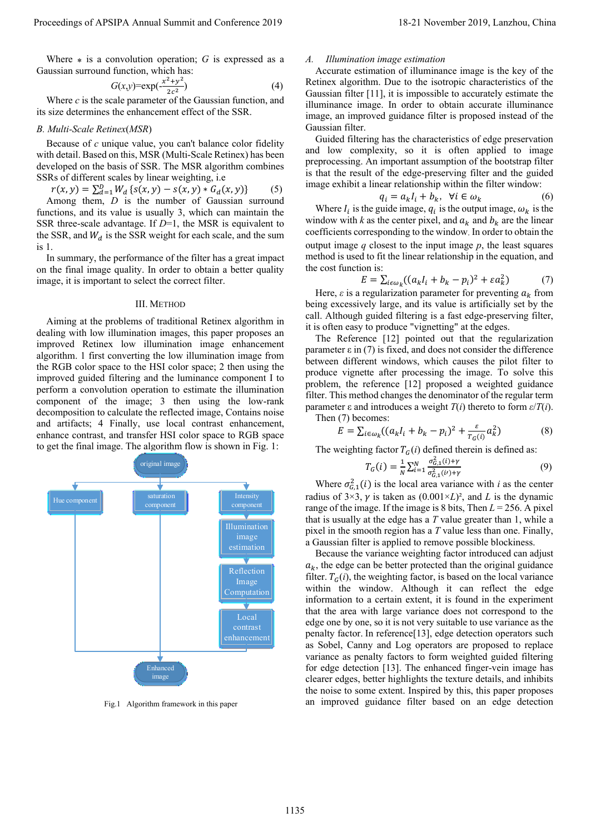Where  $*$  is a convolution operation;  $G$  is expressed as a Gaussian surround function, which has:

$$
G(x,y) = \exp(-\frac{x^2 + y^2}{2c^2})\tag{4}
$$

Where *c* is the scale parameter of the Gaussian function, and its size determines the enhancement effect of the SSR.

#### *B. Multi-Scale Retinex*(*MSR*)

Because of *c* unique value, you can't balance color fidelity with detail. Based on this, MSR (Multi-Scale Retinex) has been developed on the basis of SSR. The MSR algorithm combines SSRs of different scales by linear weighting, i.e

$$
r(x, y) = \sum_{d=1}^{D} W_d \{ s(x, y) - s(x, y) * G_d(x, y) \}
$$
 (5)

Among them, *D* is the number of Gaussian surround functions, and its value is usually 3, which can maintain the SSR three-scale advantage. If *D*=1, the MSR is equivalent to the SSR, and  $W_d$  is the SSR weight for each scale, and the sum is 1.

In summary, the performance of the filter has a great impact on the final image quality. In order to obtain a better quality image, it is important to select the correct filter.

### III. METHOD

Aiming at the problems of traditional Retinex algorithm in dealing with low illumination images, this paper proposes an improved Retinex low illumination image enhancement algorithm. 1 first converting the low illumination image from the RGB color space to the HSI color space; 2 then using the improved guided filtering and the luminance component I to perform a convolution operation to estimate the illumination component of the image; 3 then using the low-rank decomposition to calculate the reflected image, Contains noise and artifacts; 4 Finally, use local contrast enhancement, enhance contrast, and transfer HSI color space to RGB space to get the final image. The algorithm flow is shown in Fig. 1:



Fig.1 Algorithm framework in this paper

#### *A. Illumination image estimation*

Accurate estimation of illuminance image is the key of the Retinex algorithm. Due to the isotropic characteristics of the Gaussian filter [11], it is impossible to accurately estimate the illuminance image. In order to obtain accurate illuminance image, an improved guidance filter is proposed instead of the Gaussian filter.

Guided filtering has the characteristics of edge preservation and low complexity, so it is often applied to image preprocessing. An important assumption of the bootstrap filter is that the result of the edge-preserving filter and the guided image exhibit a linear relationship within the filter window:

$$
q_i = a_k I_i + b_k, \ \forall i \in \omega_k \tag{6}
$$

Where  $I_i$  is the guide image,  $q_i$  is the output image,  $\omega_k$  is the window with  $k$  as the center pixel, and  $a_k$  and  $b_k$  are the linear coefficients corresponding to the window. In order to obtain the output image  $q$  closest to the input image  $p$ , the least squares method is used to fit the linear relationship in the equation, and the cost function is:

$$
E = \sum_{i \in \omega_k} ((a_k I_i + b_k - p_i)^2 + \varepsilon a_k^2)
$$
 (7)

Here,  $\varepsilon$  is a regularization parameter for preventing  $a_k$  from being excessively large, and its value is artificially set by the call. Although guided filtering is a fast edge-preserving filter, it is often easy to produce "vignetting" at the edges.

The Reference [12] pointed out that the regularization parameter  $\epsilon$  in (7) is fixed, and does not consider the difference between different windows, which causes the pilot filter to produce vignette after processing the image. To solve this problem, the reference [12] proposed a weighted guidance filter. This method changes the denominator of the regular term parameter ε and introduces a weight *T*(*i*) thereto to form *ε*/*T*(*i*). Then (7) becomes:

$$
E = \sum_{i \in \omega_k} ((a_k I_i + b_k - p_i)^2 + \frac{\varepsilon}{T_G(i)} a_k^2)
$$
 (8)

The weighting factor  $T_G(i)$  defined therein is defined as:

$$
T_G(i) = \frac{1}{N} \sum_{i=1}^{N} \frac{\sigma_{G,1}^2(i) + \gamma}{\sigma_{G,1}^2(i) + \gamma}
$$
(9)

Where  $\sigma_{G,1}^2(i)$  is the local area variance with *i* as the center radius of  $3\times3$ ,  $\gamma$  is taken as  $(0.001\times L)^2$ , and *L* is the dynamic range of the image. If the image is 8 bits, Then  $L = 256$ . A pixel that is usually at the edge has a *T* value greater than 1, while a pixel in the smooth region has a *T* value less than one. Finally, a Gaussian filter is applied to remove possible blockiness.

Because the variance weighting factor introduced can adjust  $a_k$ , the edge can be better protected than the original guidance filter.  $T_G(i)$ , the weighting factor, is based on the local variance within the window. Although it can reflect the edge information to a certain extent, it is found in the experiment that the area with large variance does not correspond to the edge one by one, so it is not very suitable to use variance as the penalty factor. In reference[13], edge detection operators such as Sobel, Canny and Log operators are proposed to replace variance as penalty factors to form weighted guided filtering for edge detection [13]. The enhanced finger-vein image has clearer edges, better highlights the texture details, and inhibits the noise to some extent. Inspired by this, this paper proposes an improved guidance filter based on an edge detection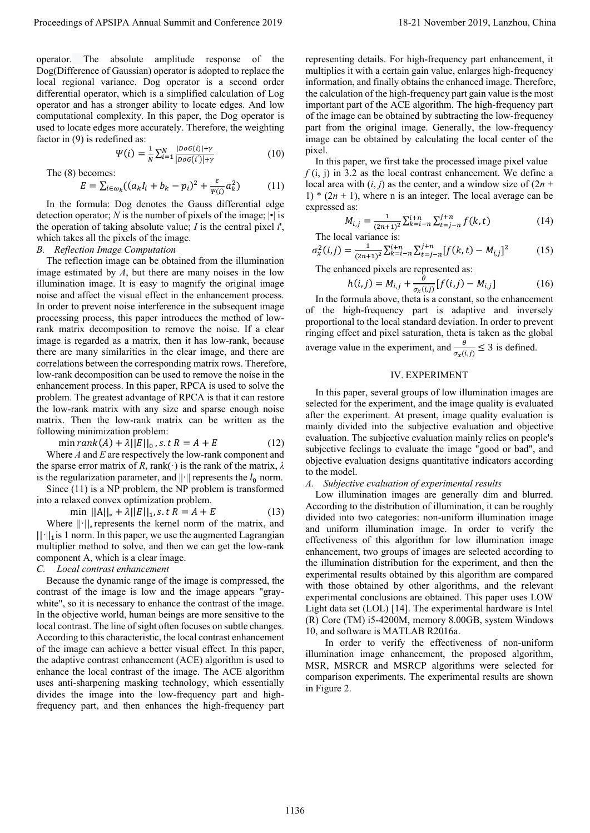operator. The absolute amplitude response of the Dog(Difference of Gaussian) operator is adopted to replace the local regional variance. Dog operator is a second order differential operator, which is a simplified calculation of Log operator and has a stronger ability to locate edges. And low computational complexity. In this paper, the Dog operator is used to locate edges more accurately. Therefore, the weighting factor in (9) is redefined as:

$$
\Psi(i) = \frac{1}{N} \sum_{i=1}^{N} \frac{|D o G(i)| + \gamma}{|D o G(i')| + \gamma}
$$
(10)

The (8) becomes:

$$
E = \sum_{i \in \omega_k} ((a_k I_i + b_k - p_i)^2 + \frac{\varepsilon}{\psi(i)} a_k^2)
$$
 (11)

In the formula: Dog denotes the Gauss differential edge detection operator; *N* is the number of pixels of the image;  $|\cdot|$  is the operation of taking absolute value; *I* is the central pixel *i*', which takes all the pixels of the image.

#### *B. Reflection Image Computation*

The reflection image can be obtained from the illumination image estimated by *A*, but there are many noises in the low illumination image. It is easy to magnify the original image noise and affect the visual effect in the enhancement process. In order to prevent noise interference in the subsequent image processing process, this paper introduces the method of lowrank matrix decomposition to remove the noise. If a clear image is regarded as a matrix, then it has low-rank, because there are many similarities in the clear image, and there are correlations between the corresponding matrix rows. Therefore, low-rank decomposition can be used to remove the noise in the enhancement process. In this paper, RPCA is used to solve the problem. The greatest advantage of RPCA is that it can restore the low-rank matrix with any size and sparse enough noise matrix. Then the low-rank matrix can be written as the following minimization problem: Proceedings of APSIPA Annual Summit and Conference 2019<br>
The conference 2019 in the conference 2019 in the conference 2019 in the conference 2019 in the conference 2019 in the conference 2019 in the conference 2019 in the

$$
\min rank(A) + \lambda ||E||_0, s.t R = A + E \tag{12}
$$

Where *A* and *E* are respectively the low-rank component and the sparse error matrix of *R*, rank( $\cdot$ ) is the rank of the matrix,  $\lambda$ is the regularization parameter, and  $\|\cdot\|$  represents the  $l_0$  norm.

Since (11) is a NP problem, the NP problem is transformed into a relaxed convex optimization problem.

min  $||A||_* + \lambda ||E||_1$ , s. t  $R = A + E$  (13)

Where ||·||<sup>∗</sup> represents the kernel norm of the matrix, and  $|| \cdot ||_1$  is 1 norm. In this paper, we use the augmented Lagrangian multiplier method to solve, and then we can get the low-rank component A, which is a clear image.

# *C. Local contrast enhancement*

Because the dynamic range of the image is compressed, the contrast of the image is low and the image appears "graywhite", so it is necessary to enhance the contrast of the image. In the objective world, human beings are more sensitive to the local contrast. The line of sight often focuses on subtle changes. According to this characteristic, the local contrast enhancement of the image can achieve a better visual effect. In this paper, the adaptive contrast enhancement (ACE) algorithm is used to enhance the local contrast of the image. The ACE algorithm uses anti-sharpening masking technology, which essentially divides the image into the low-frequency part and highfrequency part, and then enhances the high-frequency part

representing details. For high-frequency part enhancement, it multiplies it with a certain gain value, enlarges high-frequency information, and finally obtains the enhanced image. Therefore, the calculation of the high-frequency part gain value is the most important part of the ACE algorithm. The high-frequency part of the image can be obtained by subtracting the low-frequency part from the original image. Generally, the low-frequency image can be obtained by calculating the local center of the pixel.

In this paper, we first take the processed image pixel value  $f(i, j)$  in 3.2 as the local contrast enhancement. We define a local area with  $(i, j)$  as the center, and a window size of  $(2n +$ 1)  $*(2n + 1)$ , where n is an integer. The local average can be expressed as:

$$
M_{i,j} = \frac{1}{(2n+1)^2} \sum_{k=i-n}^{i+n} \sum_{t=j-n}^{j+n} f(k, t)
$$
 (14)

The local variance is:

$$
\sigma_x^2(i,j) = \frac{1}{(2n+1)^2} \sum_{k=i-n}^{i+n} \sum_{t=j-n}^{j+n} [f(k,t) - M_{i,j}]^2
$$
 (15)

The enhanced pixels are represented as:

$$
h(i,j) = M_{i,j} + \frac{\theta}{\sigma_x(i,j)} [f(i,j) - M_{i,j}]
$$
 (16)

In the formula above, theta is a constant, so the enhancement of the high-frequency part is adaptive and inversely proportional to the local standard deviation. In order to prevent ringing effect and pixel saturation, theta is taken as the global average value in the experiment, and  $\frac{\theta}{\sigma_x(i,j)} \leq 3$  is defined.

#### IV. EXPERIMENT

In this paper, several groups of low illumination images are selected for the experiment, and the image quality is evaluated after the experiment. At present, image quality evaluation is mainly divided into the subjective evaluation and objective evaluation. The subjective evaluation mainly relies on people's subjective feelings to evaluate the image "good or bad", and objective evaluation designs quantitative indicators according to the model.

*A. Subjective evaluation of experimental results*

Low illumination images are generally dim and blurred. According to the distribution of illumination, it can be roughly divided into two categories: non-uniform illumination image and uniform illumination image. In order to verify the effectiveness of this algorithm for low illumination image enhancement, two groups of images are selected according to the illumination distribution for the experiment, and then the experimental results obtained by this algorithm are compared with those obtained by other algorithms, and the relevant experimental conclusions are obtained. This paper uses LOW Light data set (LOL) [14]. The experimental hardware is Intel (R) Core (TM) i5-4200M, memory 8.00GB, system Windows 10, and software is MATLAB R2016a.

In order to verify the effectiveness of non-uniform illumination image enhancement, the proposed algorithm, MSR, MSRCR and MSRCP algorithms were selected for comparison experiments. The experimental results are shown in Figure 2.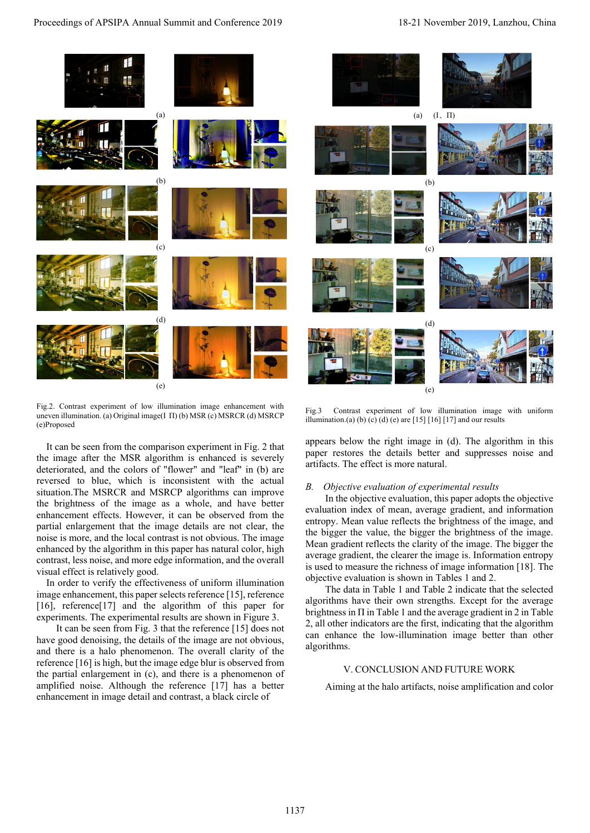

Fig.2. Contrast experiment of low illumination image enhancement with uneven illumination. (a) Original image(Ι Π) (b) MSR (c) MSRCR (d) MSRCP (e)Proposed

It can be seen from the comparison experiment in Fig. 2 that the image after the MSR algorithm is enhanced is severely deteriorated, and the colors of "flower" and "leaf" in (b) are reversed to blue, which is inconsistent with the actual situation.The MSRCR and MSRCP algorithms can improve the brightness of the image as a whole, and have better enhancement effects. However, it can be observed from the partial enlargement that the image details are not clear, the noise is more, and the local contrast is not obvious. The image enhanced by the algorithm in this paper has natural color, high contrast, less noise, and more edge information, and the overall visual effect is relatively good.

In order to verify the effectiveness of uniform illumination image enhancement, this paper selects reference [15], reference [16], reference[17] and the algorithm of this paper for experiments. The experimental results are shown in Figure 3.

It can be seen from Fig. 3 that the reference [15] does not have good denoising, the details of the image are not obvious, and there is a halo phenomenon. The overall clarity of the reference [16] is high, but the image edge blur is observed from the partial enlargement in (c), and there is a phenomenon of amplified noise. Although the reference [17] has a better enhancement in image detail and contrast, a black circle of

Fig.3 Contrast experiment of low illumination image with uniform illumination.(a) (b) (c) (d) (e) are [15] [16] [17] and our results

appears below the right image in (d). The algorithm in this paper restores the details better and suppresses noise and artifacts. The effect is more natural.

#### *B. Objective evaluation of experimental results*

In the objective evaluation, this paper adopts the objective evaluation index of mean, average gradient, and information entropy. Mean value reflects the brightness of the image, and the bigger the value, the bigger the brightness of the image. Mean gradient reflects the clarity of the image. The bigger the average gradient, the clearer the image is. Information entropy is used to measure the richness of image information [18]. The objective evaluation is shown in Tables 1 and 2.

The data in Table 1 and Table 2 indicate that the selected algorithms have their own strengths. Except for the average brightness in  $\Pi$  in Table 1 and the average gradient in 2 in Table 2, all other indicators are the first, indicating that the algorithm can enhance the low-illumination image better than other algorithms.

## V. CONCLUSION AND FUTURE WORK

Aiming at the halo artifacts, noise amplification and color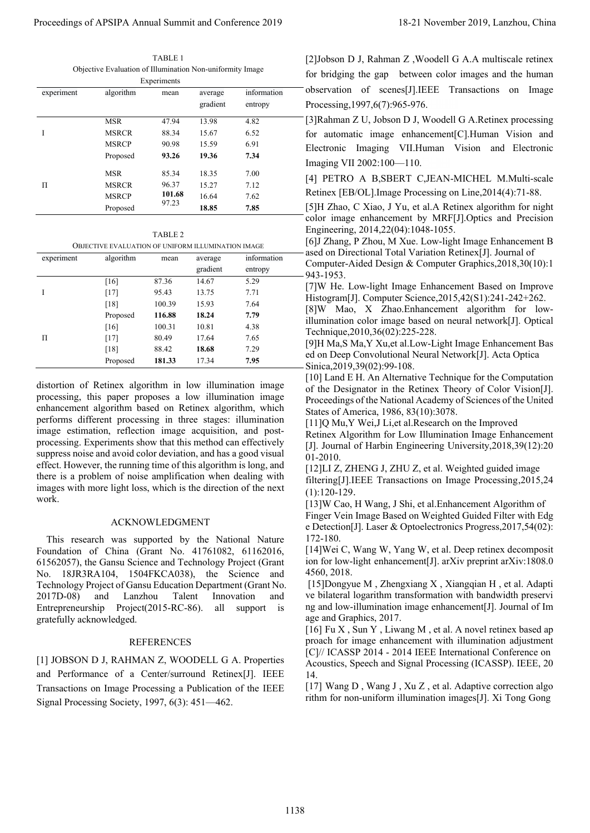TABLE 1 Objective Evaluation of Illumination Non-uniformity Image

|                                                                    | Objective Evaluation of Illumination Non-uniformity Image                                                                                                                                                                                                                                                                                                                             | TABLE 1<br>Experiments                                                           |                     |                                                                                                                                                                                                                                                                                                                                                                                                                                                                                        | [2]Jobson D J, Rahman Z , Woodell G A.A multiscale retinex<br>for bridging the gap between color images and the human                                                                                                                                                                                                                                                                                                                                                                                                                                                                                                                                                                                                                                                                                                                                                                                                                                                                                                                                                                                                                            |  |  |
|--------------------------------------------------------------------|---------------------------------------------------------------------------------------------------------------------------------------------------------------------------------------------------------------------------------------------------------------------------------------------------------------------------------------------------------------------------------------|----------------------------------------------------------------------------------|---------------------|----------------------------------------------------------------------------------------------------------------------------------------------------------------------------------------------------------------------------------------------------------------------------------------------------------------------------------------------------------------------------------------------------------------------------------------------------------------------------------------|--------------------------------------------------------------------------------------------------------------------------------------------------------------------------------------------------------------------------------------------------------------------------------------------------------------------------------------------------------------------------------------------------------------------------------------------------------------------------------------------------------------------------------------------------------------------------------------------------------------------------------------------------------------------------------------------------------------------------------------------------------------------------------------------------------------------------------------------------------------------------------------------------------------------------------------------------------------------------------------------------------------------------------------------------------------------------------------------------------------------------------------------------|--|--|
| experiment                                                         | algorithm                                                                                                                                                                                                                                                                                                                                                                             | mean                                                                             | average<br>gradient | information<br>entropy                                                                                                                                                                                                                                                                                                                                                                                                                                                                 | observation of scenes[J].IEEE Transactions on Image<br>Processing, 1997, 6(7): 965-976.                                                                                                                                                                                                                                                                                                                                                                                                                                                                                                                                                                                                                                                                                                                                                                                                                                                                                                                                                                                                                                                          |  |  |
|                                                                    | <b>MSR</b>                                                                                                                                                                                                                                                                                                                                                                            | 47.94                                                                            | 13.98               | 4.82                                                                                                                                                                                                                                                                                                                                                                                                                                                                                   | [3] Rahman Z U, Jobson D J, Woodell G A. Retinex processing                                                                                                                                                                                                                                                                                                                                                                                                                                                                                                                                                                                                                                                                                                                                                                                                                                                                                                                                                                                                                                                                                      |  |  |
| Ι.                                                                 | <b>MSRCR</b>                                                                                                                                                                                                                                                                                                                                                                          | 88.34                                                                            | 15.67               | 6.52                                                                                                                                                                                                                                                                                                                                                                                                                                                                                   | for automatic image enhancement[C].Human Vision and                                                                                                                                                                                                                                                                                                                                                                                                                                                                                                                                                                                                                                                                                                                                                                                                                                                                                                                                                                                                                                                                                              |  |  |
|                                                                    | <b>MSRCP</b><br>Proposed                                                                                                                                                                                                                                                                                                                                                              | 90.98<br>93.26                                                                   | 15.59<br>19.36      | 6.91<br>7.34                                                                                                                                                                                                                                                                                                                                                                                                                                                                           | Electronic Imaging VII.Human Vision and Electronic                                                                                                                                                                                                                                                                                                                                                                                                                                                                                                                                                                                                                                                                                                                                                                                                                                                                                                                                                                                                                                                                                               |  |  |
|                                                                    |                                                                                                                                                                                                                                                                                                                                                                                       |                                                                                  |                     |                                                                                                                                                                                                                                                                                                                                                                                                                                                                                        | Imaging VII 2002:100-110.                                                                                                                                                                                                                                                                                                                                                                                                                                                                                                                                                                                                                                                                                                                                                                                                                                                                                                                                                                                                                                                                                                                        |  |  |
|                                                                    | <b>MSR</b>                                                                                                                                                                                                                                                                                                                                                                            | 85.34                                                                            | 18.35               | 7.00                                                                                                                                                                                                                                                                                                                                                                                                                                                                                   | [4] PETRO A B, SBERT C, JEAN-MICHEL M. Multi-scale                                                                                                                                                                                                                                                                                                                                                                                                                                                                                                                                                                                                                                                                                                                                                                                                                                                                                                                                                                                                                                                                                               |  |  |
| П                                                                  | <b>MSRCR</b><br><b>MSRCP</b>                                                                                                                                                                                                                                                                                                                                                          | 96.37<br>101.68                                                                  | 15.27<br>16.64      | 7.12<br>7.62                                                                                                                                                                                                                                                                                                                                                                                                                                                                           | Retinex [EB/OL]. Image Processing on Line, 2014(4): 71-88.                                                                                                                                                                                                                                                                                                                                                                                                                                                                                                                                                                                                                                                                                                                                                                                                                                                                                                                                                                                                                                                                                       |  |  |
|                                                                    | Proposed                                                                                                                                                                                                                                                                                                                                                                              | 97.23                                                                            | 18.85               | 7.85                                                                                                                                                                                                                                                                                                                                                                                                                                                                                   | [5]H Zhao, C Xiao, J Yu, et al.A Retinex algorithm for night                                                                                                                                                                                                                                                                                                                                                                                                                                                                                                                                                                                                                                                                                                                                                                                                                                                                                                                                                                                                                                                                                     |  |  |
|                                                                    |                                                                                                                                                                                                                                                                                                                                                                                       |                                                                                  |                     |                                                                                                                                                                                                                                                                                                                                                                                                                                                                                        | color image enhancement by MRF[J].Optics and Precision                                                                                                                                                                                                                                                                                                                                                                                                                                                                                                                                                                                                                                                                                                                                                                                                                                                                                                                                                                                                                                                                                           |  |  |
| TABLE 2                                                            |                                                                                                                                                                                                                                                                                                                                                                                       |                                                                                  |                     |                                                                                                                                                                                                                                                                                                                                                                                                                                                                                        | Engineering, 2014, 22(04): 1048-1055.<br>[6] Zhang, P Zhou, M Xue. Low-light Image Enhancement B                                                                                                                                                                                                                                                                                                                                                                                                                                                                                                                                                                                                                                                                                                                                                                                                                                                                                                                                                                                                                                                 |  |  |
|                                                                    | OBJECTIVE EVALUATION OF UNIFORM ILLUMINATION IMAGE                                                                                                                                                                                                                                                                                                                                    |                                                                                  |                     |                                                                                                                                                                                                                                                                                                                                                                                                                                                                                        | ased on Directional Total Variation Retinex[J]. Journal of                                                                                                                                                                                                                                                                                                                                                                                                                                                                                                                                                                                                                                                                                                                                                                                                                                                                                                                                                                                                                                                                                       |  |  |
| experiment                                                         | algorithm                                                                                                                                                                                                                                                                                                                                                                             | mean                                                                             | average<br>gradient | information<br>entropy                                                                                                                                                                                                                                                                                                                                                                                                                                                                 | Computer-Aided Design & Computer Graphics, 2018, 30(10):1                                                                                                                                                                                                                                                                                                                                                                                                                                                                                                                                                                                                                                                                                                                                                                                                                                                                                                                                                                                                                                                                                        |  |  |
|                                                                    | $[16]$                                                                                                                                                                                                                                                                                                                                                                                | 87.36                                                                            | 14.67               | 5.29                                                                                                                                                                                                                                                                                                                                                                                                                                                                                   | 943-1953.                                                                                                                                                                                                                                                                                                                                                                                                                                                                                                                                                                                                                                                                                                                                                                                                                                                                                                                                                                                                                                                                                                                                        |  |  |
| Ι                                                                  | $[17]$                                                                                                                                                                                                                                                                                                                                                                                | 95.43                                                                            | 13.75               | 7.71                                                                                                                                                                                                                                                                                                                                                                                                                                                                                   | [7]W He. Low-light Image Enhancement Based on Improve<br>Histogram[J]. Computer Science, 2015, 42(S1): 241-242+262.                                                                                                                                                                                                                                                                                                                                                                                                                                                                                                                                                                                                                                                                                                                                                                                                                                                                                                                                                                                                                              |  |  |
|                                                                    | $[18]$                                                                                                                                                                                                                                                                                                                                                                                | 100.39                                                                           | 15.93               | 7.64                                                                                                                                                                                                                                                                                                                                                                                                                                                                                   | [8]W Mao, X Zhao.Enhancement algorithm for low-                                                                                                                                                                                                                                                                                                                                                                                                                                                                                                                                                                                                                                                                                                                                                                                                                                                                                                                                                                                                                                                                                                  |  |  |
|                                                                    | Proposed                                                                                                                                                                                                                                                                                                                                                                              | 116.88                                                                           | 18.24               | 7.79                                                                                                                                                                                                                                                                                                                                                                                                                                                                                   | illumination color image based on neural network[J]. Optical                                                                                                                                                                                                                                                                                                                                                                                                                                                                                                                                                                                                                                                                                                                                                                                                                                                                                                                                                                                                                                                                                     |  |  |
| $\Pi$                                                              | $[16]$<br>$[17]$                                                                                                                                                                                                                                                                                                                                                                      | 100.31<br>80.49                                                                  | 10.81<br>17.64      | 4.38<br>7.65                                                                                                                                                                                                                                                                                                                                                                                                                                                                           | Technique, 2010, 36(02): 225-228.                                                                                                                                                                                                                                                                                                                                                                                                                                                                                                                                                                                                                                                                                                                                                                                                                                                                                                                                                                                                                                                                                                                |  |  |
|                                                                    | [18]                                                                                                                                                                                                                                                                                                                                                                                  | 88.42                                                                            | 18.68               | 7.29                                                                                                                                                                                                                                                                                                                                                                                                                                                                                   | [9]H Ma,S Ma,Y Xu,et al.Low-Light Image Enhancement Bas                                                                                                                                                                                                                                                                                                                                                                                                                                                                                                                                                                                                                                                                                                                                                                                                                                                                                                                                                                                                                                                                                          |  |  |
|                                                                    | Proposed                                                                                                                                                                                                                                                                                                                                                                              | 181.33                                                                           | 17.34               | 7.95                                                                                                                                                                                                                                                                                                                                                                                                                                                                                   | ed on Deep Convolutional Neural Network[J]. Acta Optica<br>Sinica, 2019, 39(02): 99-108.                                                                                                                                                                                                                                                                                                                                                                                                                                                                                                                                                                                                                                                                                                                                                                                                                                                                                                                                                                                                                                                         |  |  |
| work.<br>2017D-08)<br>Entrepreneurship<br>gratefully acknowledged. | suppress noise and avoid color deviation, and has a good visual<br>effect. However, the running time of this algorithm is long, and<br>there is a problem of noise amplification when dealing with<br>This research was supported by the National Nature<br>Foundation of China (Grant No. 41761082, 61162016,<br>Lanzhou<br>and<br>[1] JOBSON D J, RAHMAN Z, WOODELL G A. Properties | <b>ACKNOWLEDGMENT</b><br>Talent<br>Project $(2015$ -RC-86).<br><b>REFERENCES</b> | all                 | processing. Experiments show that this method can effectively<br>images with more light loss, which is the direction of the next<br>61562057), the Gansu Science and Technology Project (Grant<br>No. 18JR3RA104, 1504FKCA038), the Science and<br>Technology Project of Gansu Education Department (Grant No.<br>Innovation<br>and<br>support<br>$\frac{1}{1}$<br>and Performance of a Center/surround Retinex[J]. IEEE<br>Transactions on Image Processing a Publication of the IEEE | [J]. Journal of Harbin Engineering University, 2018, 39(12): 20<br>01-2010.<br>[12]LI Z, ZHENG J, ZHU Z, et al. Weighted guided image<br>filtering[J].IEEE Transactions on Image Processing, 2015, 24<br>$(1):120-129.$<br>[13] W Cao, H Wang, J Shi, et al. Enhancement Algorithm of<br>Finger Vein Image Based on Weighted Guided Filter with Edg<br>e Detection <sup>[J]</sup> . Laser & Optoelectronics Progress, 2017, 54(02):<br>172-180.<br>[14] Wei C, Wang W, Yang W, et al. Deep retinex decomposit<br>ion for low-light enhancement[J]. arXiv preprint arXiv:1808.0<br>4560, 2018.<br>[15] Dongyue M, Zhengxiang X, Xiangqian H, et al. Adapti<br>ve bilateral logarithm transformation with bandwidth preservi<br>ng and low-illumination image enhancement[J]. Journal of Im<br>age and Graphics, 2017.<br>[16] Fu X, Sun Y, Liwang M, et al. A novel retinex based ap<br>proach for image enhancement with illumination adjustment<br>[C]// ICASSP 2014 - 2014 IEEE International Conference on<br>Acoustics, Speech and Signal Processing (ICASSP). IEEE, 20<br>14.<br>[17] Wang D, Wang J, Xu Z, et al. Adaptive correction algo |  |  |
|                                                                    | Signal Processing Society, 1997, 6(3): 451–462.                                                                                                                                                                                                                                                                                                                                       |                                                                                  |                     |                                                                                                                                                                                                                                                                                                                                                                                                                                                                                        | rithm for non-uniform illumination images[J]. Xi Tong Gong                                                                                                                                                                                                                                                                                                                                                                                                                                                                                                                                                                                                                                                                                                                                                                                                                                                                                                                                                                                                                                                                                       |  |  |

TABLE 2

| <b>OBJECTIVE EVALUATION OF UNIFORM ILLUMINATION IMAGE</b> |
|-----------------------------------------------------------|
|-----------------------------------------------------------|

| experiment | algorithm | mean   | average<br>gradient | information<br>entropy |
|------------|-----------|--------|---------------------|------------------------|
|            | [16]      | 87.36  | 14.67               | 5.29                   |
|            | $[17]$    | 95.43  | 13.75               | 7.71                   |
|            | [18]      | 100.39 | 15.93               | 7.64                   |
|            | Proposed  | 116.88 | 18.24               | 7.79                   |
|            | [16]      | 100.31 | 10.81               | 4.38                   |
| Π          | $[17]$    | 80.49  | 17.64               | 7.65                   |
|            | [18]      | 88.42  | 18.68               | 7.29                   |
|            | Proposed  | 181.33 | 17.34               | 7.95                   |

#### ACKNOWLEDGMENT

#### REFERENCES